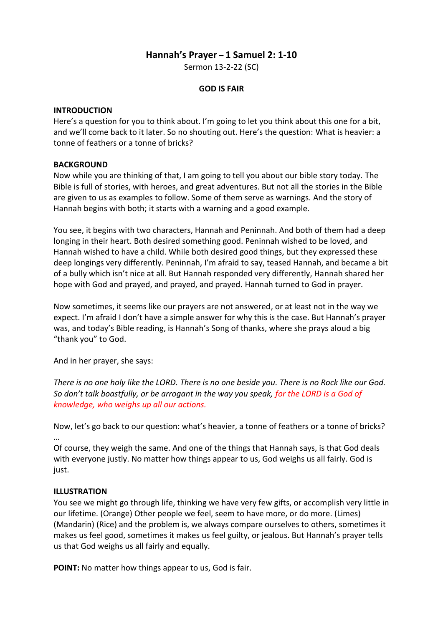# **Hannah's Prayer – 1 Samuel 2: 1-10**

Sermon 13-2-22 (SC)

## **GOD IS FAIR**

#### **INTRODUCTION**

Here's a question for you to think about. I'm going to let you think about this one for a bit, and we'll come back to it later. So no shouting out. Here's the question: What is heavier: a tonne of feathers or a tonne of bricks?

### **BACKGROUND**

Now while you are thinking of that, I am going to tell you about our bible story today. The Bible is full of stories, with heroes, and great adventures. But not all the stories in the Bible are given to us as examples to follow. Some of them serve as warnings. And the story of Hannah begins with both; it starts with a warning and a good example.

You see, it begins with two characters, Hannah and Peninnah. And both of them had a deep longing in their heart. Both desired something good. Peninnah wished to be loved, and Hannah wished to have a child. While both desired good things, but they expressed these deep longings very differently. Peninnah, I'm afraid to say, teased Hannah, and became a bit of a bully which isn't nice at all. But Hannah responded very differently, Hannah shared her hope with God and prayed, and prayed, and prayed. Hannah turned to God in prayer.

Now sometimes, it seems like our prayers are not answered, or at least not in the way we expect. I'm afraid I don't have a simple answer for why this is the case. But Hannah's prayer was, and today's Bible reading, is Hannah's Song of thanks, where she prays aloud a big "thank you" to God.

And in her prayer, she says:

*There is no one holy like the LORD. There is no one beside you. There is no Rock like our God. So don't talk boastfully, or be arrogant in the way you speak, for the LORD is a God of knowledge, who weighs up all our actions.* 

Now, let's go back to our question: what's heavier, a tonne of feathers or a tonne of bricks? …

Of course, they weigh the same. And one of the things that Hannah says, is that God deals with everyone justly. No matter how things appear to us, God weighs us all fairly. God is just.

### **ILLUSTRATION**

You see we might go through life, thinking we have very few gifts, or accomplish very little in our lifetime. (Orange) Other people we feel, seem to have more, or do more. (Limes) (Mandarin) (Rice) and the problem is, we always compare ourselves to others, sometimes it makes us feel good, sometimes it makes us feel guilty, or jealous. But Hannah's prayer tells us that God weighs us all fairly and equally.

**POINT:** No matter how things appear to us, God is fair.